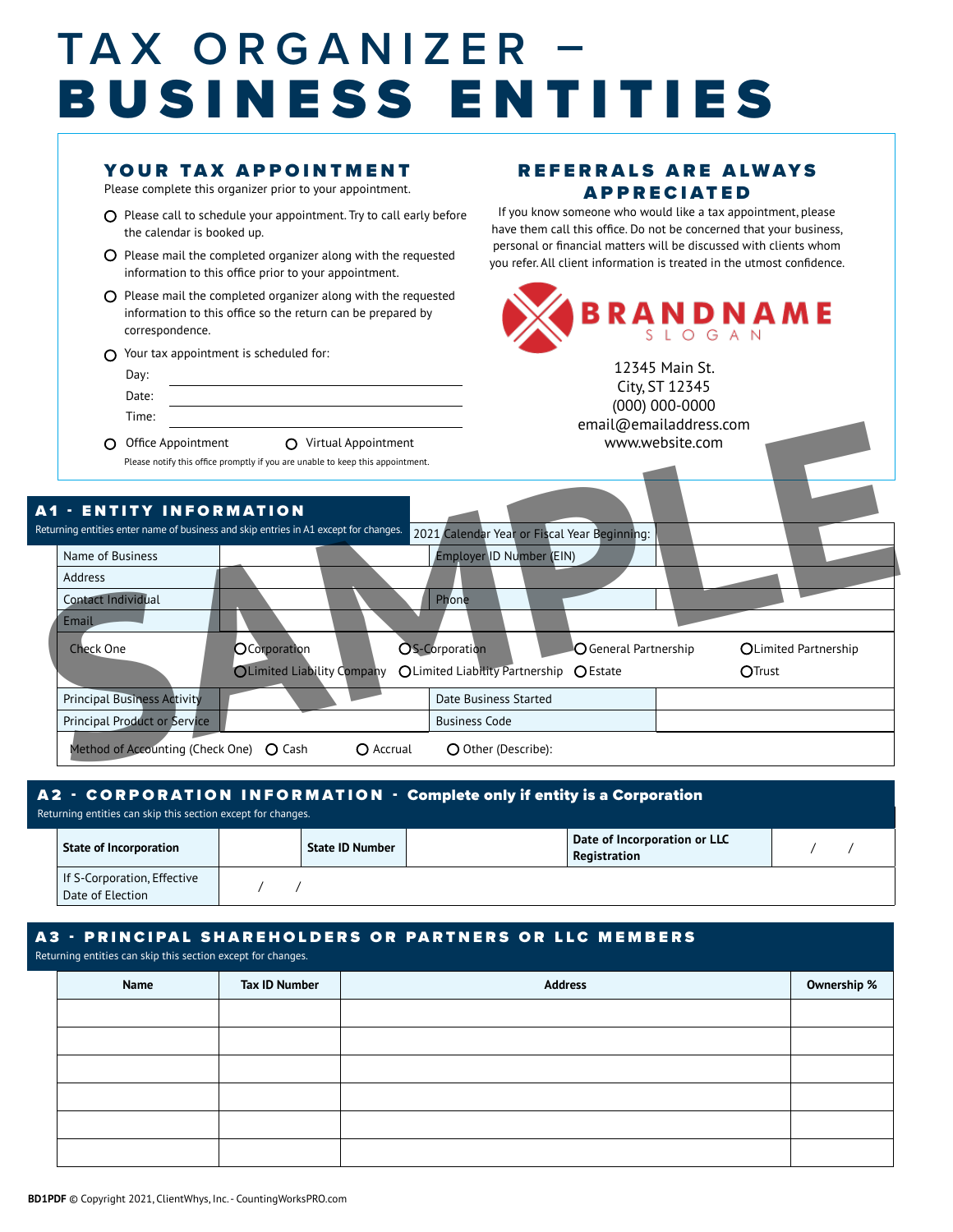## **TAX ORGANIZER –** BUSINESS ENTITIES

### YOUR TAX APPOINTMENT

Please complete this organizer prior to your appointment.

- $O$  Please call to schedule your appointment. Try to call early before the calendar is booked up.
- $\overline{O}$  Please mail the completed organizer along with the requested information to this office prior to your appointment.
- $\Omega$  Please mail the completed organizer along with the requested information to this office so the return can be prepared by correspondence.
- $\bigcap$  Your tax appointment is scheduled for:
	- Day: Date: Time:
- O Office Appointment O Virtual Appointment

### REFERRALS ARE ALWAYS APPRECIATED

If you know someone who would like a tax appointment, please have them call this office. Do not be concerned that your business, personal or financial matters will be discussed with clients whom you refer. All client information is treated in the utmost confidence.



City, ST 12345 (000) 000-0000 email@emailaddress.com www.website.com

| Office Appointment                               | Virtual Appointment<br>∩<br>Please notify this office promptly if you are unable to keep this appointment. |                                         |                                              | email@emailaddress.com<br>www.website.com |                      |  |
|--------------------------------------------------|------------------------------------------------------------------------------------------------------------|-----------------------------------------|----------------------------------------------|-------------------------------------------|----------------------|--|
| <b>A1 - ENTITY INFORMATION</b>                   | Returning entities enter name of business and skip entries in A1 except for changes.                       |                                         | 2021 Calendar Year or Fiscal Year Beginning: |                                           |                      |  |
| Name of Business                                 |                                                                                                            |                                         | Employer ID Number (EIN)                     |                                           |                      |  |
| Address                                          |                                                                                                            |                                         |                                              |                                           |                      |  |
| Contact Individual                               |                                                                                                            | Phone                                   |                                              |                                           |                      |  |
| Email                                            |                                                                                                            |                                         |                                              |                                           |                      |  |
| <b>Check One</b>                                 | OCorporation                                                                                               | OS-Corporation                          |                                              | $\bigcirc$ General Partnership            | OLimited Partnership |  |
|                                                  | <b>OLimited Liability Company</b>                                                                          | OLimited Liability Partnership O Estate |                                              |                                           | OTrust               |  |
| <b>Principal Business Activity</b>               |                                                                                                            | Date Business Started                   |                                              |                                           |                      |  |
| <b>Principal Product or Service</b>              |                                                                                                            | <b>Business Code</b>                    |                                              |                                           |                      |  |
| Method of Accounting (Check One) $\bigcirc$ Cash | $\bigcirc$ Accrual                                                                                         |                                         | O Other (Describe):                          |                                           |                      |  |

### A2 - CORPORATION INFORMATION - Complete only if entity is a Corporation

**State of Incorporation Registration** / / If S-Corporation, Effective Date of Election / / Returning entities can skip this section except for changes.

#### A3 - PRINCIPAL SHAREHOLDERS OR PARTNERS OR LLC MEMBERS

Returning entities can skip this section except for changes.

| Name | <b>Tax ID Number</b> | <b>Address</b> | Ownership % |
|------|----------------------|----------------|-------------|
|      |                      |                |             |
|      |                      |                |             |
|      |                      |                |             |
|      |                      |                |             |
|      |                      |                |             |
|      |                      |                |             |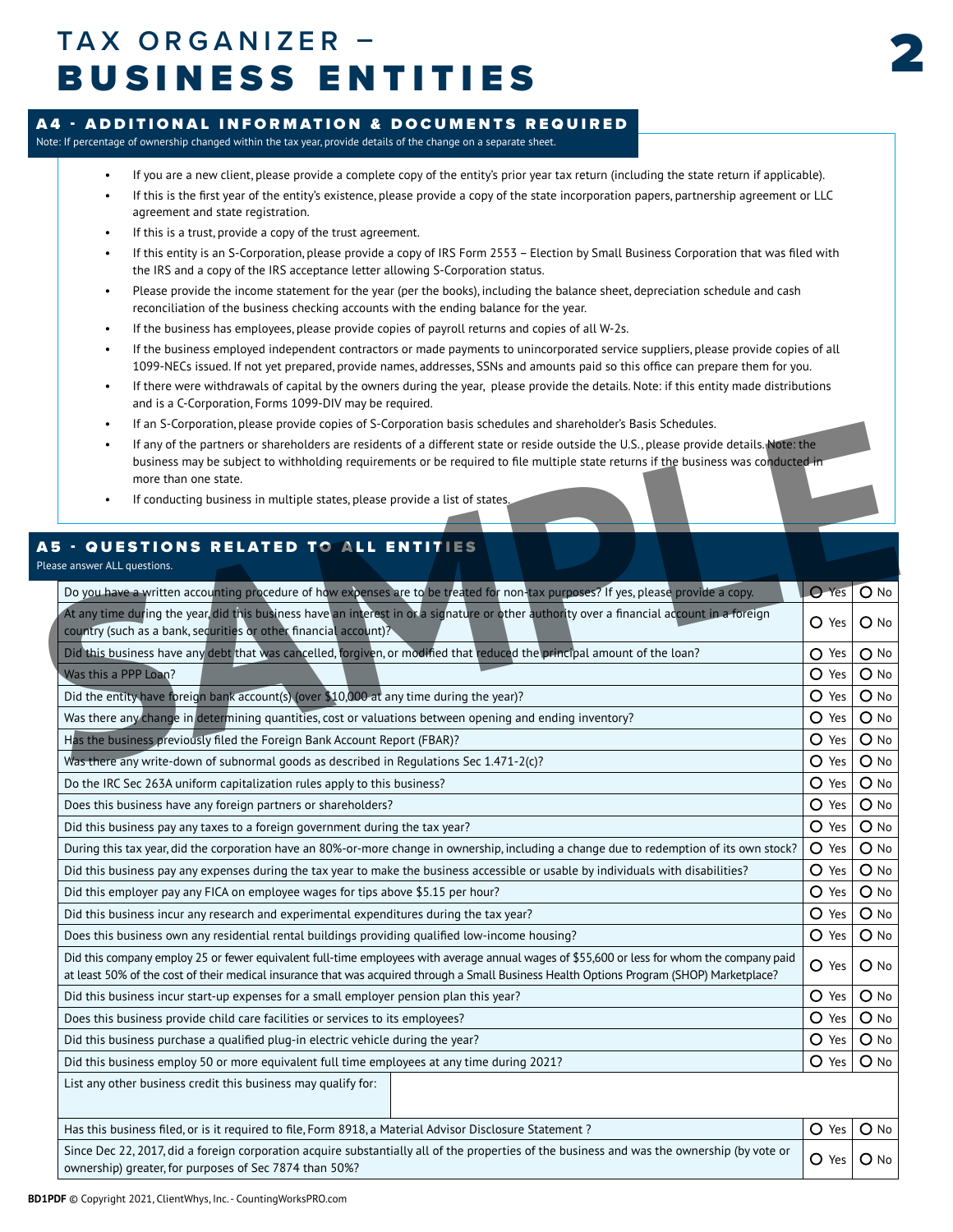### 2 **TAX ORGANIZER –** BUSINESS ENTITIES



### A4 - ADDITIONAL INFORMATION & DOCUMENTS REQUIRED

Note: If percentage of ownership changed within the tax year, provide details of the change on a separate sheet.

- If you are a new client, please provide a complete copy of the entity's prior year tax return (including the state return if applicable).
- If this is the first year of the entity's existence, please provide a copy of the state incorporation papers, partnership agreement or LLC agreement and state registration.
- If this is a trust, provide a copy of the trust agreement.
- If this entity is an S-Corporation, please provide a copy of IRS Form 2553 Election by Small Business Corporation that was filed with the IRS and a copy of the IRS acceptance letter allowing S-Corporation status.
- Please provide the income statement for the year (per the books), including the balance sheet, depreciation schedule and cash reconciliation of the business checking accounts with the ending balance for the year.
- If the business has employees, please provide copies of payroll returns and copies of all W-2s.
- If the business employed independent contractors or made payments to unincorporated service suppliers, please provide copies of all 1099-NECs issued. If not yet prepared, provide names, addresses, SSNs and amounts paid so this office can prepare them for you.
- If there were withdrawals of capital by the owners during the year, please provide the details. Note: if this entity made distributions and is a C-Corporation, Forms 1099-DIV may be required.
- If an S-Corporation, please provide copies of S-Corporation basis schedules and shareholder's Basis Schedules.
- If any of the partners or shareholders are residents of a different state or reside outside the U.S., please provide details. Note: the business may be subject to withholding requirements or be required to file multiple state returns if the business was conducted in more than one state.
- If conducting business in multiple states, please provide a list of states.

### A5 - QUESTIONS RELATED TO ALL ENTITIES

| • If an S-Corporation, please provide copies of S-Corporation basis schedules and shareholder's Basis Schedules.                                                                                                                                                                                      |                                   |
|-------------------------------------------------------------------------------------------------------------------------------------------------------------------------------------------------------------------------------------------------------------------------------------------------------|-----------------------------------|
| If any of the partners or shareholders are residents of a different state or reside outside the U.S., please provide details. Note: the<br>business may be subject to withholding requirements or be required to file multiple state returns if the business was conducted in<br>more than one state. |                                   |
| • If conducting business in multiple states, please provide a list of states.                                                                                                                                                                                                                         |                                   |
| <b>A5 - QUESTIONS RELATED TO ALL ENTITIES</b><br>Please answer ALL questions.                                                                                                                                                                                                                         |                                   |
| Do you have a written accounting procedure of how expenses are to be treated for non-tax purposes? If yes, please provide a copy.                                                                                                                                                                     | O Yes O No                        |
| At any time during the year did this business have an interest in or a signature or other authority over a financial account in a foreign<br>country (such as a bank, securities or other financial account)?                                                                                         | O Yes   O No                      |
| Did this business have any debt that was cancelled, forgiven, or modified that reduced the principal amount of the loan?                                                                                                                                                                              | $O$ Yes $O$ No                    |
| Was this a PPP Loan?                                                                                                                                                                                                                                                                                  | $O$ Yes $O$ No                    |
| Did the entity have foreign bank account(s) (over \$10,000 at any time during the year)?                                                                                                                                                                                                              | $O$ Yes $O$ No                    |
| Was there any change in determining quantities, cost or valuations between opening and ending inventory?                                                                                                                                                                                              | $O$ Yes $O$ No                    |
| Has the business previously filed the Foreign Bank Account Report (FBAR)?                                                                                                                                                                                                                             | $O$ Yes $O$ No                    |
| Was there any write-down of subnormal goods as described in Regulations Sec $1.471$ -2(c)?                                                                                                                                                                                                            | $\overline{\bigcirc}$ No<br>O Yes |
| Do the IRC Sec 263A uniform capitalization rules apply to this business?                                                                                                                                                                                                                              | $O$ Yes $O$ No                    |
| Does this business have any foreign partners or shareholders?                                                                                                                                                                                                                                         | $O$ Yes $O$ No                    |
| Did this business pay any taxes to a foreign government during the tax year?                                                                                                                                                                                                                          | O Yes   O No                      |
| During this tax year, did the corporation have an 80%-or-more change in ownership, including a change due to redemption of its own stock?                                                                                                                                                             | $O$ Yes $O$ No                    |
| Did this business pay any expenses during the tax year to make the business accessible or usable by individuals with disabilities?                                                                                                                                                                    | $O$ Yes $O$ No                    |
| Did this employer pay any FICA on employee wages for tips above \$5.15 per hour?                                                                                                                                                                                                                      | $O$ Yes $O$ No                    |
| Did this business incur any research and experimental expenditures during the tax year?                                                                                                                                                                                                               | O Yes   O No                      |
| Does this business own any residential rental buildings providing qualified low-income housing?                                                                                                                                                                                                       | $O$ Yes $O$ No                    |
| Did this company employ 25 or fewer equivalent full-time employees with average annual wages of \$55,600 or less for whom the company paid<br>at least 50% of the cost of their medical insurance that was acquired through a Small Business Health Options Program (SHOP) Marketplace?               | $O$ Yes $O$ No                    |
| Did this business incur start-up expenses for a small employer pension plan this year?                                                                                                                                                                                                                | $O$ Yes $O$ No                    |
| Does this business provide child care facilities or services to its employees?                                                                                                                                                                                                                        | O Yes   O No                      |
| Did this business purchase a qualified plug-in electric vehicle during the year?                                                                                                                                                                                                                      | O Yes   O No                      |
| Did this business employ 50 or more equivalent full time employees at any time during 2021?                                                                                                                                                                                                           | $O$ Yes $O$ No                    |
| List any other business credit this business may qualify for:                                                                                                                                                                                                                                         |                                   |
| Has this business filed, or is it required to file, Form 8918, a Material Advisor Disclosure Statement?                                                                                                                                                                                               | O Yes   O No                      |
| Since Dec 22, 2017, did a foreign corporation acquire substantially all of the properties of the business and was the ownership (by vote or<br>ownership) greater, for purposes of Sec 7874 than 50%?                                                                                                 | O Yes   O No                      |
|                                                                                                                                                                                                                                                                                                       |                                   |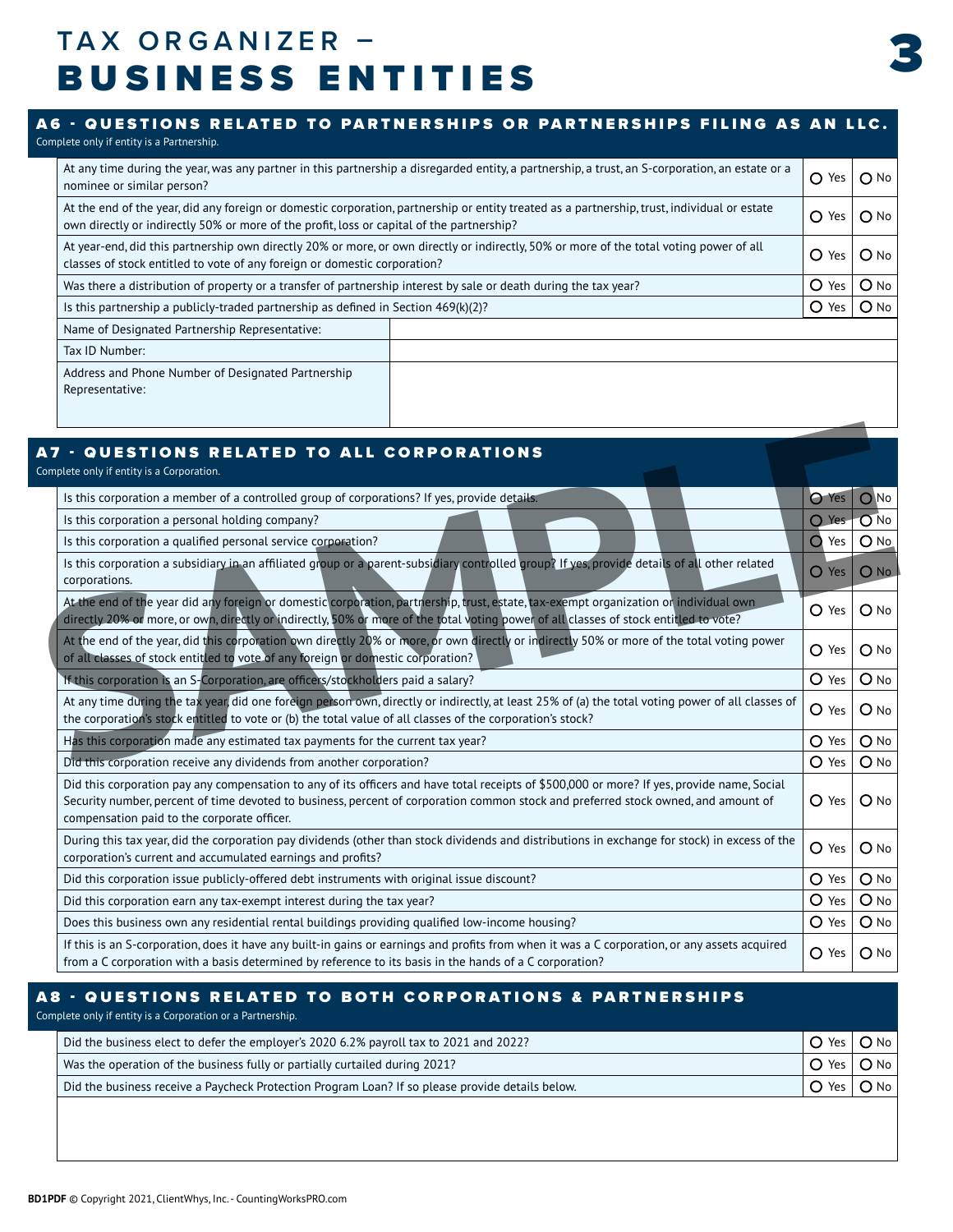### 3 **TAX ORGANIZER –** BUSINESS ENTITIES

### At any time during the year, was any partner in this partnership a disregarded entity, a partnership, a trust, an S-corporation, an estate or a  $\bigcirc$  Yes  $\bigcirc$  No No $\bigcirc$ A6 - QUESTIONS RELATED TO PARTNERSHIPS OR PARTNERSHIPS FILING AS AN LLC. Complete only if entity is a Partnership.

| At the end of the year, did any foreign or domestic corporation, partnership or entity treated as a partnership, trust, individual or estate<br>own directly or indirectly 50% or more of the profit, loss or capital of the partnership? |  |          |        |
|-------------------------------------------------------------------------------------------------------------------------------------------------------------------------------------------------------------------------------------------|--|----------|--------|
| At year-end, did this partnership own directly 20% or more, or own directly or indirectly, 50% or more of the total voting power of all<br>O<br>classes of stock entitled to vote of any foreign or domestic corporation?                 |  |          |        |
| O<br>Was there a distribution of property or a transfer of partnership interest by sale or death during the tax year?                                                                                                                     |  |          | $O$ No |
| Is this partnership a publicly-traded partnership as defined in Section $469(k)(2)?$                                                                                                                                                      |  | O<br>Yes | $O$ No |
| Name of Designated Partnership Representative:                                                                                                                                                                                            |  |          |        |
| Tax ID Number:                                                                                                                                                                                                                            |  |          |        |
| Address and Phone Number of Designated Partnership<br>Representative:                                                                                                                                                                     |  |          |        |
|                                                                                                                                                                                                                                           |  |          |        |

| <b>A7 - QUESTIONS RELATED TO ALL CORPORATIONS</b><br>Complete only if entity is a Corporation.                                                                                                                                                                                                                                   |                              |
|----------------------------------------------------------------------------------------------------------------------------------------------------------------------------------------------------------------------------------------------------------------------------------------------------------------------------------|------------------------------|
| Is this corporation a member of a controlled group of corporations? If yes, provide details.                                                                                                                                                                                                                                     | O Yes   O No                 |
| Is this corporation a personal holding company?                                                                                                                                                                                                                                                                                  | O Yes O No                   |
| Is this corporation a qualified personal service corporation?                                                                                                                                                                                                                                                                    | O Yes   O No                 |
| Is this corporation a subsidiary in an affiliated group or a parent-subsidiary controlled group? If yes, provide details of all other related<br>corporations.                                                                                                                                                                   | $\bigcirc$ Yes $\bigcirc$ No |
| At the end of the year did any foreign or domestic corporation, partnership, trust, estate, tax-exempt organization or individual own<br>directly 20% or more, or own, directly or indirectly, 50% or more of the total voting power of all classes of stock entitled to vote?                                                   | $O$ Yes $O$ No               |
| At the end of the year, did this corporation own directly 20% or more, or own directly or indirectly 50% or more of the total voting power<br>of all classes of stock entitled to vote of any foreign or domestic corporation?                                                                                                   | $O$ Yes $O$ No               |
| If this corporation is an S-Corporation, are officers/stockholders paid a salary?                                                                                                                                                                                                                                                | $O$ Yes $O$ No               |
| At any time during the tax year, did one foreign person own, directly or indirectly, at least 25% of (a) the total voting power of all classes of<br>the corporation's stock entitled to vote or (b) the total value of all classes of the corporation's stock?                                                                  | $O$ Yes $O$ No               |
| Has this corporation made any estimated tax payments for the current tax year?                                                                                                                                                                                                                                                   | $O Yes$   $O No$             |
| Did this corporation receive any dividends from another corporation?                                                                                                                                                                                                                                                             | $O$ Yes $O$ No               |
| Did this corporation pay any compensation to any of its officers and have total receipts of \$500,000 or more? If yes, provide name, Social<br>Security number, percent of time devoted to business, percent of corporation common stock and preferred stock owned, and amount of<br>compensation paid to the corporate officer. | $O$ Yes $O$ No               |
| During this tax year, did the corporation pay dividends (other than stock dividends and distributions in exchange for stock) in excess of the<br>corporation's current and accumulated earnings and profits?                                                                                                                     | $O$ Yes $O$ No               |
| Did this corporation issue publicly-offered debt instruments with original issue discount?                                                                                                                                                                                                                                       | $O Yes$   $O No$             |
| Did this corporation earn any tax-exempt interest during the tax year?                                                                                                                                                                                                                                                           | $O$ Yes $O$ No               |
| Does this business own any residential rental buildings providing qualified low-income housing?                                                                                                                                                                                                                                  | $O Yes$ $O No$               |
| If this is an S-corporation, does it have any built-in gains or earnings and profits from when it was a C corporation, or any assets acquired<br>from a C corporation with a basis determined by reference to its basis in the hands of a C corporation?                                                                         | $O$ Yes $O$ No               |

### A8 - QUESTIONS RELATED TO BOTH CORPORATIONS & PARTNERSHIPS

Complete only if entity is a Corporation or a Partnership.

| Did the business elect to defer the employer's 2020 6.2% payroll tax to 2021 and 2022?           | $O$ Yes $O$ No         |        |
|--------------------------------------------------------------------------------------------------|------------------------|--------|
| Was the operation of the business fully or partially curtailed during 2021?                      | $\circ$ Yes $\circ$ No |        |
| Did the business receive a Paycheck Protection Program Loan? If so please provide details below. | ' O Yes I              | $O$ No |